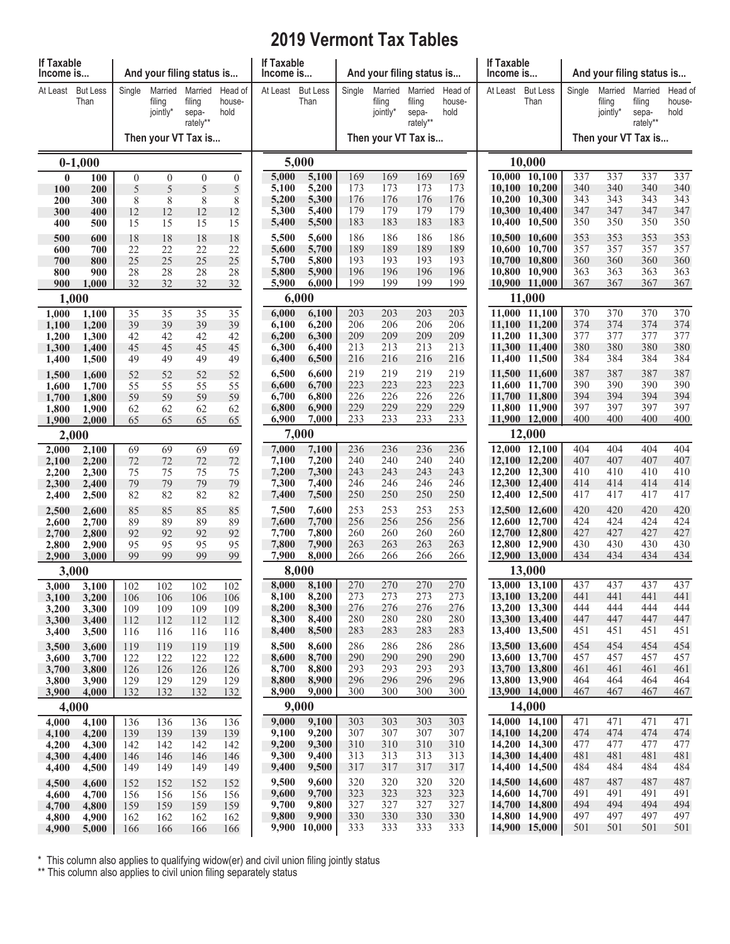## **2019 Vermont Tax Tables**

| If Taxable<br>Income is                         |                         |                   | And your filing status is     |                                        |                           | If Taxable<br>Income is |                                              |            | And your filing status is     |                                        |                           | If Taxable<br>Income is |                                                     |            | And your filing status is<br>Married<br>Married<br>filing<br>filing<br>jointly*<br>sepa-<br>rately**<br>337<br>337<br>340<br>340<br>343<br>343<br>347<br>347<br>350<br>350<br>353<br>353<br>357<br>357<br>360<br>360<br>363<br>363<br>367<br>367 |            |                           |  |  |  |  |
|-------------------------------------------------|-------------------------|-------------------|-------------------------------|----------------------------------------|---------------------------|-------------------------|----------------------------------------------|------------|-------------------------------|----------------------------------------|---------------------------|-------------------------|-----------------------------------------------------|------------|--------------------------------------------------------------------------------------------------------------------------------------------------------------------------------------------------------------------------------------------------|------------|---------------------------|--|--|--|--|
| At Least                                        | <b>But Less</b><br>Than | Single            | Married<br>filing<br>jointly* | Married<br>filing<br>sepa-<br>rately** | Head of<br>house-<br>hold | At Least                | <b>But Less</b><br>Than                      | Single     | Married<br>filing<br>jointly* | Married<br>filing<br>sepa-<br>rately** | Head of<br>house-<br>hold | At Least                | <b>But Less</b><br>Than                             | Single     |                                                                                                                                                                                                                                                  |            | Head of<br>house-<br>hold |  |  |  |  |
| Then your VT Tax is                             |                         |                   |                               |                                        |                           |                         | Then your VT Tax is                          |            |                               | Then your VT Tax is                    |                           |                         |                                                     |            |                                                                                                                                                                                                                                                  |            |                           |  |  |  |  |
|                                                 | $0-1,000$               |                   |                               |                                        |                           |                         | 5,000<br>10,000                              |            |                               |                                        |                           |                         |                                                     |            |                                                                                                                                                                                                                                                  |            |                           |  |  |  |  |
| 100                                             | $\bf{0}$<br>100<br>200  | $\mathbf{0}$<br>5 | $\theta$<br>$\sqrt{5}$        | $\overline{0}$<br>5                    | $\overline{0}$<br>5       | 5,000<br>5,100          | 5,100<br>5,200                               | 169<br>173 | 169<br>173                    | 169<br>173                             | 169<br>173                |                         | 10,000 10,100<br>10,100 10,200                      | 337<br>340 |                                                                                                                                                                                                                                                  |            | 337<br>340                |  |  |  |  |
| 200                                             | 300                     | 8                 | 8                             | 8                                      | 8                         | 5,200                   | 5,300                                        | 176        | 176                           | 176                                    | 176                       |                         | 10,200 10,300                                       | 343        |                                                                                                                                                                                                                                                  |            | 343                       |  |  |  |  |
| 300<br>400                                      | 400<br>500              | 12<br>15          | 12<br>15                      | 12<br>15                               | 12<br>15                  | 5,300<br>5,400          | 5,400<br>5,500                               | 179<br>183 | 179<br>183                    | 179<br>183                             | 179<br>183                |                         | 10,300 10,400<br>10,400 10,500                      | 347<br>350 |                                                                                                                                                                                                                                                  |            | 347<br>350                |  |  |  |  |
| 500                                             | 600                     | 18                | 18                            | 18                                     | 18                        | 5,500                   | 5,600                                        | 186        | 186                           | 186                                    | 186                       |                         | 10,500 10,600                                       | 353        |                                                                                                                                                                                                                                                  |            | 353                       |  |  |  |  |
| 600                                             | 700                     | 22                | 22                            | 22                                     | 22                        | 5,600                   | 5,700                                        | 189        | 189                           | 189                                    | 189                       |                         | 10,600 10,700                                       | 357        |                                                                                                                                                                                                                                                  |            | 357                       |  |  |  |  |
| 700<br>800                                      | 800<br>900              | 25<br>28          | 25<br>28                      | 25<br>28                               | 25<br>28                  | 5,700<br>5,800          | 5,800<br>5,900                               | 193<br>196 | 193<br>196                    | 193<br>196                             | 193<br>196                |                         | 10,700 10,800<br>10,800 10,900                      | 360<br>363 |                                                                                                                                                                                                                                                  |            | 360<br>363                |  |  |  |  |
| 900                                             | 1,000                   | 32                | 32                            | 32                                     | 32                        | 5,900                   | 6,000                                        | 199        | 199                           | 199                                    | 199                       |                         | 10,900 11,000                                       | 367        |                                                                                                                                                                                                                                                  |            | 367                       |  |  |  |  |
|                                                 | 1,000                   |                   |                               |                                        |                           |                         | 6,000                                        |            |                               |                                        |                           |                         | 11,000                                              |            |                                                                                                                                                                                                                                                  |            |                           |  |  |  |  |
| 1,000<br>1,100                                  | 1,100<br>1,200          | 35<br>39          | $\overline{35}$<br>39         | $\overline{35}$<br>39                  | $\overline{35}$<br>39     | 6,000<br>6,100          | 6,100<br>6,200                               | 203<br>206 | 203<br>206                    | 203<br>206                             | 203<br>206                |                         | 11,000 11,100<br>11,100 11,200                      | 370<br>374 | 370<br>374                                                                                                                                                                                                                                       | 370<br>374 | 370<br>374                |  |  |  |  |
| 1,200                                           | 1,300                   | 42                | 42                            | 42                                     | 42                        | 6,200                   | 6,300                                        | 209        | 209                           | 209                                    | 209                       |                         | 11,200 11,300                                       | 377        | 377                                                                                                                                                                                                                                              | 377        | 377                       |  |  |  |  |
| 1,300<br>1,400                                  | 1,400<br>1,500          | 45<br>49          | 45<br>49                      | 45<br>49                               | 45<br>49                  | 6,300<br>6,400          | 6,400<br>6,500                               | 213<br>216 | 213<br>216                    | 213<br>216                             | 213<br>216                |                         | 11,300 11,400<br>11,400 11,500                      | 380<br>384 | 380<br>384                                                                                                                                                                                                                                       | 380<br>384 | 380<br>384                |  |  |  |  |
| 1,500                                           | 1,600                   | 52                | 52                            | 52                                     | 52                        | 6,500                   | 6,600                                        | 219        | 219                           | 219                                    | 219                       |                         | 11,500 11,600                                       | 387        | 387                                                                                                                                                                                                                                              | 387        | 387                       |  |  |  |  |
| 1,600<br>1,700                                  | 1,700<br>1,800          | 55<br>59          | 55<br>59                      | 55<br>59                               | 55<br>59                  | 6,600<br>6,700          | 6,700<br>6,800                               | 223<br>226 | 223<br>226                    | 223<br>226                             | 223<br>226                |                         | 11,600 11,700<br>11,700 11,800                      | 390<br>394 | 390<br>394                                                                                                                                                                                                                                       | 390<br>394 | 390<br>394                |  |  |  |  |
| 1,800                                           | 1,900                   | 62                | 62                            | 62                                     | 62                        | 6,800                   | 6,900                                        | 229        | 229                           | 229                                    | 229                       |                         | 11,800 11,900                                       | 397        | 397                                                                                                                                                                                                                                              | 397        | 397                       |  |  |  |  |
| 65<br>1,900<br>2,000<br>65<br>65<br>65<br>2,000 |                         |                   |                               | 6,900                                  | 7,000<br>7,000            | 233                     | 233                                          | 233        | 233                           |                                        | 11,900 12,000             | 400                     | 400                                                 | 400        | 400                                                                                                                                                                                                                                              |            |                           |  |  |  |  |
| 2,000                                           | 2,100                   | 69                | 69                            | 69                                     | 69                        | 7,000                   | 7,100                                        | 236        | 236                           | 236                                    | 236                       |                         | 12,000<br>12,000 12,100                             | 404        | 404                                                                                                                                                                                                                                              | 404        | 404                       |  |  |  |  |
| 2,100                                           | 2,200                   | 72                | 72                            | 72                                     | 72                        | 7,100                   | 7,200                                        | 240        | 240                           | 240                                    | 240                       |                         | 12,100 12,200                                       | 407        | 407                                                                                                                                                                                                                                              | 407        | 407                       |  |  |  |  |
| 2,200<br>2,300                                  | 2,300<br>2,400          | 75<br>79          | 75<br>79                      | 75<br>79                               | 75<br>79                  | 7,200<br>7,300          | 7,300<br>7,400                               | 243<br>246 | 243<br>246                    | 243<br>246                             | 243<br>246                |                         | 12,200 12,300<br>12,300 12,400                      | 410<br>414 | 410<br>414                                                                                                                                                                                                                                       | 410<br>414 | 410<br>414                |  |  |  |  |
| 2,400                                           | 2,500                   | 82                | 82                            | 82                                     | 82                        | 7,400                   | 7,500                                        | 250        | 250                           | 250                                    | 250                       |                         | 12,400 12,500                                       | 417        | 417                                                                                                                                                                                                                                              | 417        | 417                       |  |  |  |  |
| 2,500                                           | 2,600                   | 85                | 85                            | 85                                     | 85                        | 7,500                   | 7,600                                        | 253        | 253                           | 253                                    | 253                       |                         | 12,500 12,600                                       | 420        | 420                                                                                                                                                                                                                                              | 420        | 420                       |  |  |  |  |
| 2,600<br>2,700                                  | 2,700<br>2,800          | 89<br>92          | 89<br>92                      | 89<br>92                               | 89<br>92                  | 7,600<br>7,700          | 7,700<br>7,800                               | 256<br>260 | 256<br>260                    | 256<br>260                             | 256<br>260                |                         | 12,600 12,700<br>12,700 12,800                      | 424<br>427 | 424<br>427                                                                                                                                                                                                                                       | 424<br>427 | 424<br>427                |  |  |  |  |
| 2,800<br>2,900                                  | 2,900<br>3,000          | 95<br>99          | 95<br>99                      | 95<br>99                               | 95<br>99                  | 7,800                   | 7,900                                        | 263        | 263<br>266                    | 263                                    | 263                       |                         | 12,800 12,900                                       | 430        | 430                                                                                                                                                                                                                                              | 430        | 430                       |  |  |  |  |
|                                                 | 3,000                   |                   |                               |                                        |                           |                         | 7,900<br>8,000<br>266<br>266<br>266<br>8,000 |            |                               |                                        |                           |                         | 12,900 13,000<br>434<br>434<br>434<br>434<br>13,000 |            |                                                                                                                                                                                                                                                  |            |                           |  |  |  |  |
| 3,000                                           | 3,100                   | 102               | 102                           | 102                                    | 102                       | 8,000                   | 8,100                                        | 270        | 270                           | 270                                    | 270                       |                         | 13,000 13,100                                       | 437        | 437                                                                                                                                                                                                                                              | 437        | 437                       |  |  |  |  |
| 3,100<br>3,200                                  | 3,200<br>3,300          | 106<br>109        | 106<br>109                    | 106<br>109                             | 106<br>109                | 8,100<br>8,200          | 8,200<br>8,300                               | 273<br>276 | 273<br>276                    | 273<br>276                             | 273<br>276                |                         | 13,100 13,200<br>13,200 13,300                      | 441<br>444 | 441<br>444                                                                                                                                                                                                                                       | 441<br>444 | 441<br>444                |  |  |  |  |
| 3,300                                           | 3,400                   | 112               | 112                           | 112                                    | 112                       | 8,300                   | 8,400                                        | 280        | 280                           | 280                                    | 280                       |                         | 13,300 13,400                                       | 447        | 447                                                                                                                                                                                                                                              | 447        | 447                       |  |  |  |  |
| 3,400                                           | 3,500                   | 116               | 116                           | 116                                    | 116                       | 8,400                   | 8,500                                        | 283        | 283                           | 283                                    | 283                       |                         | 13,400 13,500                                       | 451        | 451                                                                                                                                                                                                                                              | 451        | 451                       |  |  |  |  |
| 3,500<br>3,600                                  | 3,600<br>3,700          | 119<br>122        | 119<br>122                    | 119<br>122                             | 119<br>122                | 8,500<br>8,600          | 8,600<br>8,700                               | 286<br>290 | 286<br>290                    | 286<br>290                             | 286<br>290                |                         | 13,500 13,600<br>13,600 13,700                      | 454<br>457 | 454<br>457                                                                                                                                                                                                                                       | 454<br>457 | 454<br>457                |  |  |  |  |
| 3,700                                           | 3,800                   | 126               | 126                           | 126                                    | 126                       | 8,700                   | 8,800                                        | 293        | 293                           | 293                                    | 293                       |                         | 13,700 13,800                                       | 461        | 461                                                                                                                                                                                                                                              | 461        | 461                       |  |  |  |  |
| 3,800<br>3,900                                  | 3,900<br>4,000          | 129<br>132        | 129<br>132                    | 129<br>132                             | 129<br>132                | 8,800<br>8,900          | 8,900<br>9,000                               | 296<br>300 | 296<br>300                    | 296<br>300                             | 296<br>300                |                         | 13,800 13,900<br>13,900 14,000                      | 464<br>467 | 464<br>467                                                                                                                                                                                                                                       | 464<br>467 | 464<br>467                |  |  |  |  |
|                                                 | 4,000                   |                   |                               |                                        |                           |                         | 9,000                                        |            |                               |                                        |                           |                         | 14,000                                              |            |                                                                                                                                                                                                                                                  |            |                           |  |  |  |  |
| 4,000                                           | 4,100                   | 136               | 136                           | 136                                    | 136                       | 9,000                   | 9,100                                        | 303        | 303                           | 303                                    | 303                       |                         | 14,000 14,100                                       | 471        | 471                                                                                                                                                                                                                                              | 471        | 471                       |  |  |  |  |
| 4,100<br>4,200                                  | 4,200<br>4,300          | 139<br>142        | 139<br>142                    | 139<br>142                             | 139<br>142                | 9,100<br>9,200          | 9,200<br>9,300                               | 307<br>310 | 307<br>310                    | 307<br>310                             | 307<br>310                |                         | 14,100 14,200<br>14,200 14,300                      | 474<br>477 | 474<br>477                                                                                                                                                                                                                                       | 474<br>477 | 474<br>477                |  |  |  |  |
| 4,300                                           | 4,400                   | 146               | 146                           | 146                                    | 146                       | 9,300                   | 9,400                                        | 313        | 313                           | 313                                    | 313                       |                         | 14,300 14,400                                       | 481        | 481                                                                                                                                                                                                                                              | 481        | 481                       |  |  |  |  |
| 4,400<br>4,500                                  | 4,500<br>4,600          | 149<br>152        | 149<br>152                    | 149<br>152                             | 149<br>152                | 9,400<br>9,500          | 9,500<br>9,600                               | 317<br>320 | 317<br>320                    | 317<br>320                             | 317<br>320                |                         | 14,400 14,500<br>14,500 14,600                      | 484<br>487 | 484<br>487                                                                                                                                                                                                                                       | 484<br>487 | 484<br>487                |  |  |  |  |
| 4,600                                           | 4,700                   | 156               | 156                           | 156                                    | 156                       | 9,600                   | 9,700                                        | 323        | 323                           | 323                                    | 323                       |                         | 14,600 14,700                                       | 491        | 491                                                                                                                                                                                                                                              | 491        | 491                       |  |  |  |  |
| 4,700<br>4,800                                  | 4,800<br>4,900          | 159<br>162        | 159<br>162                    | 159<br>162                             | 159<br>162                | 9,700<br>9,800          | 9,800<br>9,900                               | 327<br>330 | 327<br>330                    | 327<br>330                             | 327<br>330                |                         | 14,700 14,800<br>14,800 14,900                      | 494<br>497 | 494<br>497                                                                                                                                                                                                                                       | 494<br>497 | 494<br>497                |  |  |  |  |
| 4,900                                           | 5,000                   | 166               | 166                           | 166                                    | 166                       |                         | 9,900 10,000                                 | 333        | 333                           | 333                                    | 333                       |                         | 14,900 15,000                                       | 501        | 501                                                                                                                                                                                                                                              | 501        | 501                       |  |  |  |  |

\* This column also applies to qualifying widow(er) and civil union filing jointly status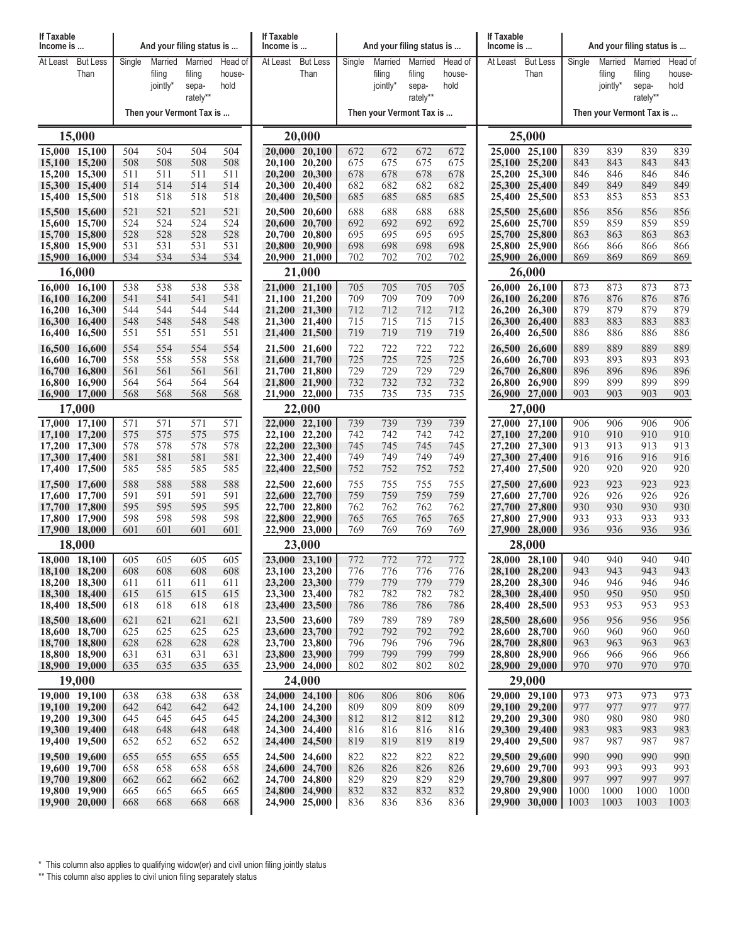| If Taxable<br>Income is        |                          |            |            | And your filing status is |            | If Taxable<br>Income is |                                |            |            | And your filing status is |            | If Taxable<br>Income is |                                |            | And your filing status is |                   |             |
|--------------------------------|--------------------------|------------|------------|---------------------------|------------|-------------------------|--------------------------------|------------|------------|---------------------------|------------|-------------------------|--------------------------------|------------|---------------------------|-------------------|-------------|
| At Least                       | <b>But Less</b>          | Single     | Married    | Married                   | Head of    | At Least But Less       |                                | Single     | Married    | Married                   | Head of    | At Least But Less       |                                | Single     | Married                   | Married           | Head of     |
|                                | Than                     |            | filing     | filing                    | house-     |                         | Than                           |            | filing     | filing                    | house-     |                         | Than                           |            | filing                    | filing            | house-      |
|                                |                          |            | jointly*   | sepa-<br>rately**         | hold       |                         |                                |            | jointly*   | sepa-<br>rately**         | hold       |                         |                                |            | jointly*                  | sepa-<br>rately** | hold        |
|                                | Then your Vermont Tax is |            |            |                           |            |                         |                                |            |            | Then your Vermont Tax is  |            |                         | Then your Vermont Tax is       |            |                           |                   |             |
|                                | 15,000                   |            |            |                           |            |                         | 20,000                         |            |            |                           |            |                         | 25,000                         |            |                           |                   |             |
| 15,000 15,100                  |                          | 504        | 504        | 504                       | 504        |                         | 20,000 20,100                  | 672        | 672        | 672                       | 672        |                         | 25,000 25,100                  | 839        | 839                       | 839               | 839         |
| 15,100 15,200                  |                          | 508        | 508        | 508                       | 508        |                         | 20,100 20,200                  | 675        | 675        | 675                       | 675        |                         | 25,100 25,200                  | 843        | 843                       | 843               | 843         |
| 15,200 15,300                  |                          | 511        | 511        | 511                       | 511        |                         | 20,200 20,300                  | 678        | 678        | 678                       | 678        |                         | 25,200 25,300                  | 846        | 846                       | 846               | 846         |
| 15,300 15,400<br>15,400 15,500 |                          | 514<br>518 | 514<br>518 | 514<br>518                | 514<br>518 |                         | 20,300 20,400<br>20,400 20,500 | 682<br>685 | 682<br>685 | 682<br>685                | 682<br>685 |                         | 25,300 25,400<br>25,400 25,500 | 849<br>853 | 849<br>853                | 849<br>853        | 849<br>853  |
| 15,500 15,600                  |                          | 521        | 521        | 521                       | 521        |                         | 20,500 20,600                  | 688        | 688        | 688                       | 688        |                         | 25,500 25,600                  | 856        | 856                       | 856               | 856         |
| 15,600 15,700                  |                          | 524        | 524        | 524                       | 524        |                         | 20,600 20,700                  | 692        | 692        | 692                       | 692        |                         | 25,600 25,700                  | 859        | 859                       | 859               | 859         |
| 15,700 15,800                  |                          | 528        | 528        | 528                       | 528        |                         | 20,700 20,800                  | 695        | 695        | 695                       | 695        |                         | 25,700 25,800                  | 863        | 863                       | 863               | 863         |
| 15,800 15,900<br>15,900 16,000 |                          | 531<br>534 | 531<br>534 | 531<br>534                | 531<br>534 |                         | 20,800 20,900<br>20,900 21,000 | 698<br>702 | 698<br>702 | 698<br>702                | 698<br>702 |                         | 25,800 25,900<br>25,900 26,000 | 866<br>869 | 866<br>869                | 866<br>869        | 866<br>869  |
|                                | 16,000                   |            |            |                           |            |                         | 21,000<br>26,000               |            |            |                           |            |                         |                                |            |                           |                   |             |
| 16,000 16,100                  |                          | 538        | 538        | 538                       | 538        |                         | 21,000 21,100                  | 705        | 705        | 705                       | 705        |                         | 26,000 26,100                  | 873        | 873                       | 873               | 873         |
| 16,100 16,200                  |                          | 541<br>544 | 541<br>544 | 541<br>544                | 541<br>544 |                         | 21,100 21,200                  | 709<br>712 | 709<br>712 | 709<br>712                | 709        |                         | 26,100 26,200<br>26,200 26,300 | 876<br>879 | 876<br>879                | 876<br>879        | 876<br>879  |
| 16,200 16,300<br>16,300 16,400 |                          | 548        | 548        | 548                       | 548        |                         | 21,200 21,300<br>21,300 21,400 | 715        | 715        | 715                       | 712<br>715 |                         | 26,300 26,400                  | 883        | 883                       | 883               | 883         |
| 16,400 16,500                  |                          | 551        | 551        | 551                       | 551        |                         | 21,400 21,500                  | 719        | 719        | 719                       | 719        |                         | 26,400 26,500                  | 886        | 886                       | 886               | 886         |
| 16,500 16,600                  |                          | 554        | 554        | 554                       | 554        |                         | 21,500 21,600                  | 722        | 722        | 722                       | 722        |                         | 26,500 26,600                  | 889        | 889                       | 889               | 889         |
| 16,600 16,700                  |                          | 558        | 558        | 558                       | 558        |                         | 21,600 21,700                  | 725        | 725        | 725                       | 725        |                         | 26,600 26,700                  | 893        | 893                       | 893               | 893         |
| 16,700 16,800<br>16,800 16,900 |                          | 561<br>564 | 561<br>564 | 561<br>564                | 561<br>564 |                         | 21,700 21,800<br>21,800 21,900 | 729<br>732 | 729<br>732 | 729<br>732                | 729<br>732 |                         | 26,700 26,800<br>26,800 26,900 | 896<br>899 | 896<br>899                | 896<br>899        | 896<br>899  |
| 16,900 17,000                  |                          | 568        | 568        | 568                       | 568        |                         | 21,900 22,000                  | 735        | 735        | 735                       | 735        |                         | 26,900 27,000                  | 903        | 903                       | 903               | 903         |
| 17,000                         |                          |            |            |                           |            |                         | 22,000                         |            |            |                           |            |                         | 27,000                         |            |                           |                   |             |
| 17,000 17,100                  |                          | 571        | 571        | 571                       | 571        |                         | 22,000 22,100                  | 739        | 739        | 739                       | 739        |                         | 27,000 27,100                  | 906        | 906                       | 906               | 906         |
| 17,100 17,200<br>17,200 17,300 |                          | 575<br>578 | 575<br>578 | 575<br>578                | 575<br>578 |                         | 22,100 22,200<br>22,200 22,300 | 742<br>745 | 742<br>745 | 742<br>745                | 742<br>745 |                         | 27,100 27,200<br>27,200 27,300 | 910<br>913 | 910<br>913                | 910<br>913        | 910<br>913  |
| 17,300 17,400                  |                          | 581        | 581        | 581                       | 581        |                         | 22,300 22,400                  | 749        | 749        | 749                       | 749        |                         | 27,300 27,400                  | 916        | 916                       | 916               | 916         |
| 17,400 17,500                  |                          | 585        | 585        | 585                       | 585        |                         | 22,400 22,500                  | 752        | 752        | 752                       | 752        |                         | 27,400 27,500                  | 920        | 920                       | 920               | 920         |
| 17,500 17,600                  |                          | 588        | 588        | 588                       | 588        |                         | 22,500 22,600                  | 755        | 755        | 755                       | 755        |                         | 27,500 27,600                  | 923        | 923                       | 923               | 923         |
| 17,600 17,700<br>17,700 17,800 |                          | 591<br>595 | 591<br>595 | 591<br>595                | 591<br>595 |                         | 22,600 22,700<br>22,700 22,800 | 759<br>762 | 759<br>762 | 759<br>762                | 759<br>762 |                         | 27,600 27,700<br>27,700 27,800 | 926<br>930 | 926<br>930                | 926<br>930        | 926<br>930  |
| 17,800 17,900                  |                          | 598        | 598        | 598                       | 598        |                         | 22,800 22,900                  | 765        | 765        | 765                       | 765        |                         | 27,800 27,900                  | 933        | 933                       | 933               | 933         |
| 17,900 18,000                  |                          | 601        | 601        | 601                       | 601        |                         | 22,900 23,000                  | 769        | 769        | 769                       | 769        |                         | 27,900 28,000                  | 936        | 936                       | 936               | 936         |
|                                | 18,000                   |            |            |                           |            |                         | 23,000                         |            |            |                           |            |                         | 28,000                         |            |                           |                   |             |
| 18,000 18,100                  |                          | 605        | 605        | 605                       | 605        |                         | 23,000 23,100                  | 772        | 772        | 772                       | 772        |                         | $28,000$ $28,100$              | 940        | 940                       | 940               | 940         |
| 18,200 18,300                  | 18,100 18,200            | 608<br>611 | 608<br>611 | 608<br>611                | 608<br>611 |                         | 23,100 23,200<br>23,200 23,300 | 776<br>779 | 776<br>779 | 776<br>779                | 776<br>779 |                         | 28,100 28,200<br>28,200 28,300 | 943<br>946 | 943<br>946                | 943<br>946        | 943.<br>946 |
| 18,300 18,400                  |                          | 615        | 615        | 615                       | 615        |                         | 23,300 23,400                  | 782        | 782        | 782                       | 782        |                         | 28,300 28,400                  | 950        | 950                       | 950               | 950         |
| 18,400 18,500                  |                          | 618        | 618        | 618                       | 618        |                         | 23,400 23,500                  | 786        | 786        | 786                       | 786        |                         | 28,400 28,500                  | 953        | 953                       | 953               | 953         |
| 18,500 18,600<br>18,600 18,700 |                          | 621<br>625 | 621<br>625 | 621<br>625                | 621<br>625 |                         | 23,500 23,600<br>23,600 23,700 | 789<br>792 | 789<br>792 | 789<br>792                | 789<br>792 |                         | 28,500 28,600<br>28,600 28,700 | 956<br>960 | 956<br>960                | 956<br>960        | 956<br>960  |
| 18,700 18,800                  |                          | 628        | 628        | 628                       | 628        |                         | 23,700 23,800                  | 796        | 796        | 796                       | 796        |                         | 28,700 28,800                  | 963        | 963                       | 963               | 963         |
| 18,800 18,900                  |                          | 631        | 631        | 631                       | 631        |                         | 23,800 23,900                  | 799        | 799        | 799                       | 799        |                         | 28,800 28,900                  | 966        | 966                       | 966               | 966         |
| 18,900 19,000                  |                          | 635        | 635        | 635                       | 635        |                         | 23,900 24,000                  | 802        | 802        | 802                       | 802        |                         | 28,900 29,000                  | 970        | 970                       | 970               | 970         |
|                                | 19,000                   |            |            |                           |            |                         | 24,000                         |            |            |                           |            |                         | 29,000                         |            |                           |                   |             |
| 19,000 19,100<br>19,100 19,200 |                          | 638<br>642 | 638<br>642 | 638<br>642                | 638<br>642 |                         | 24,000 24,100<br>24,100 24,200 | 806<br>809 | 806<br>809 | 806<br>809                | 806<br>809 |                         | 29,000 29,100<br>29,100 29,200 | 973<br>977 | 973<br>977                | 973<br>977        | 973<br>977  |
| 19,200 19,300                  |                          | 645        | 645        | 645                       | 645        |                         | 24,200 24,300                  | 812        | 812        | 812                       | 812        |                         | 29,200 29,300                  | 980        | 980                       | 980               | 980         |
| 19,300 19,400                  |                          | 648        | 648        | 648                       | 648        |                         | 24,300 24,400                  | 816        | 816        | 816                       | 816        |                         | 29,300 29,400                  | 983        | 983                       | 983               | 983         |
| 19,400 19,500                  |                          | 652        | 652        | 652                       | 652        |                         | 24,400 24,500                  | 819        | 819        | 819                       | 819        |                         | 29,400 29,500                  | 987        | 987                       | 987               | 987         |
| 19,500 19,600<br>19,600 19,700 |                          | 655<br>658 | 655<br>658 | 655<br>658                | 655<br>658 |                         | 24,500 24,600<br>24,600 24,700 | 822<br>826 | 822<br>826 | 822<br>826                | 822<br>826 |                         | 29,500 29,600<br>29,600 29,700 | 990<br>993 | 990<br>993                | 990<br>993        | 990<br>993  |
| 19,700 19,800                  |                          | 662        | 662        | 662                       | 662        |                         | 24,700 24,800                  | 829        | 829        | 829                       | 829        |                         | 29,700 29,800                  | 997        | 997                       | 997               | 997         |
| 19,800 19,900                  |                          | 665        | 665        | 665                       | 665        |                         | 24,800 24,900                  | 832        | 832        | 832                       | 832        |                         | 29,800 29,900                  | 1000       | 1000                      | 1000              | 1000        |
| 19,900 20,000                  |                          | 668        | 668        | 668                       | 668        |                         | 24,900 25,000                  | 836        | 836        | 836                       | 836        |                         | 29,900 30,000                  | 1003       | 1003                      | 1003              | 1003        |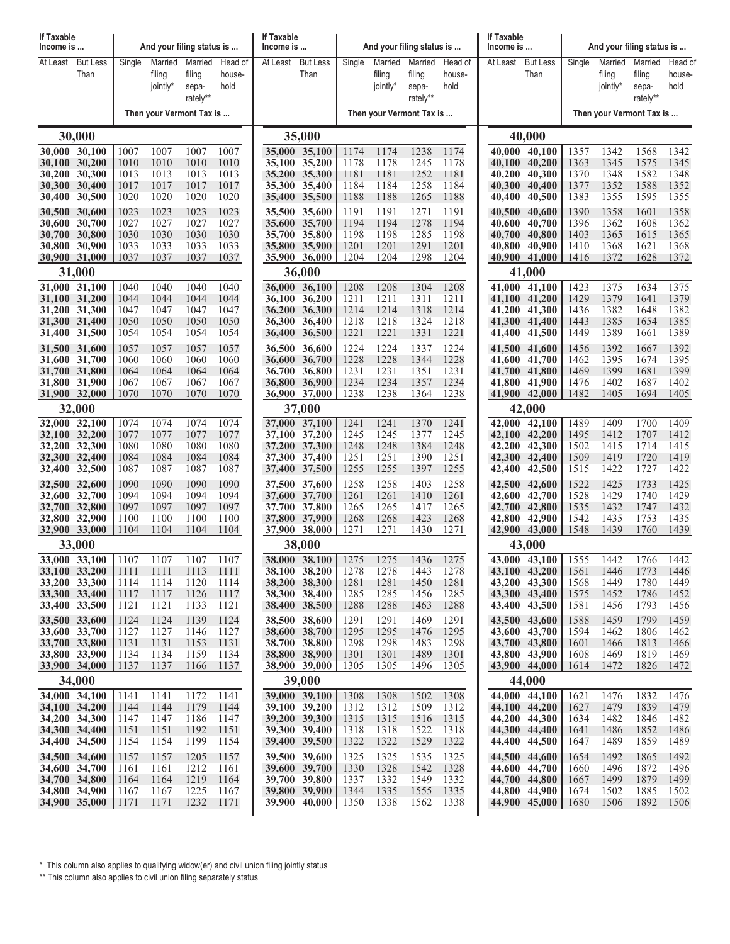| If Taxable<br>Income is        |                                |                          | And your filing status is     |                                        |                           | If Taxable<br>Income is |                                |              | And your filing status is     |                                        |                           | If Taxable<br>Income is |                                |              | And your filing status is     |                                        |                           |  |
|--------------------------------|--------------------------------|--------------------------|-------------------------------|----------------------------------------|---------------------------|-------------------------|--------------------------------|--------------|-------------------------------|----------------------------------------|---------------------------|-------------------------|--------------------------------|--------------|-------------------------------|----------------------------------------|---------------------------|--|
| At Least                       | <b>But Less</b><br>Than        | Single                   | Married<br>filing<br>jointly* | Married<br>filing<br>sepa-<br>rately** | Head of<br>house-<br>hold | At Least                | <b>But Less</b><br>Than        | Single       | Married<br>filing<br>jointly* | Married<br>filing<br>sepa-<br>rately** | Head of<br>house-<br>hold | At Least                | <b>But Less</b><br>Than        | Single       | Married<br>filing<br>jointly* | Married<br>filing<br>sepa-<br>rately** | Head of<br>house-<br>hold |  |
|                                |                                | Then your Vermont Tax is |                               |                                        |                           |                         |                                |              | Then your Vermont Tax is      |                                        |                           |                         |                                |              | Then your Vermont Tax is      |                                        |                           |  |
|                                | 30,000                         |                          |                               |                                        |                           |                         | 35,000                         |              |                               |                                        |                           | 40,000                  |                                |              |                               |                                        |                           |  |
| 30,000 30,100                  |                                | 1007                     | 1007                          | 1007                                   | 1007                      |                         | 35,000 35,100                  | 1174         | 1174                          | 1238                                   | 1174                      | 40.000                  | 40,100                         | 1357         | 1342                          | 1568                                   | 1342                      |  |
| 30,100 30,200                  | 30,200 30,300                  | 1010<br>1013             | 1010<br>1013                  | 1010<br>1013                           | 1010<br>1013              |                         | 35,100 35,200<br>35,200 35,300 | 1178<br>1181 | 1178<br>1181                  | 1245<br>1252                           | 1178<br>1181              | 40,100<br>40,200        | 40,200<br>40,300               | 1363<br>1370 | 1345<br>1348                  | 1575<br>1582                           | 1345<br>1348              |  |
| 30,300 30,400                  |                                | 1017                     | 1017                          | 1017                                   | 1017                      |                         | 35,300 35,400                  | 1184         | 1184                          | 1258                                   | 1184                      | 40,300                  | 40,400                         | 1377         | 1352                          | 1588                                   | 1352                      |  |
| 30,400<br>30,500 30,600        | 30,500                         | 1020<br>1023             | 1020<br>1023                  | 1020<br>1023                           | 1020<br>1023              |                         | 35,400 35,500<br>35,500 35,600 | 1188<br>1191 | 1188<br>1191                  | 1265<br>1271                           | 1188<br>1191              | 40,400<br>40,500        | 40,500<br>40,600               | 1383<br>1390 | 1355<br>1358                  | 1595<br>1601                           | 1355<br>1358              |  |
|                                | 30,600 30,700                  | 1027                     | 1027                          | 1027                                   | 1027                      |                         | 35,600 35,700                  | 1194         | 1194                          | 1278                                   | 1194                      | 40,600                  | 40,700                         | 1396         | 1362                          | 1608                                   | 1362                      |  |
| 30,700 30,800                  | 30,800 30,900                  | 1030<br>1033             | 1030<br>1033                  | 1030<br>1033                           | 1030<br>1033              |                         | 35,700 35,800<br>35,800 35,900 | 1198<br>1201 | 1198<br>1201                  | 1285<br>1291                           | 1198<br>1201              | 40,700<br>40,800        | 40,800<br>40,900               | 1403<br>1410 | 1365<br>1368                  | 1615<br>1621                           | 1365<br>1368              |  |
| 30,900 31,000                  |                                | 1037                     | 1037                          | 1037                                   | 1037                      |                         | 35,900 36,000                  | 1204         | 1204                          | 1298                                   | 1204                      |                         | 40,900 41,000                  | 1416         | 1372                          | 1628                                   | 1372                      |  |
|                                | 31,000                         |                          |                               |                                        |                           |                         | 36,000                         |              |                               |                                        |                           |                         | 41,000                         |              |                               |                                        |                           |  |
| 31,000 31,100                  | 31,100 31,200                  | 1040<br>1044             | 1040<br>1044                  | 1040<br>1044                           | 1040<br>1044              |                         | 36,000 36,100<br>36,100 36,200 | 1208<br>1211 | 1208<br>1211                  | 1304<br>1311                           | 1208<br>1211              |                         | 41,000 41,100<br>41,100 41,200 | 1423<br>1429 | 1375<br>1379                  | 1634<br>1641                           | 1375<br>1379              |  |
|                                | 31,200 31,300                  | 1047                     | 1047                          | 1047                                   | 1047                      |                         | 36,200 36,300                  | 1214         | 1214                          | 1318                                   | 1214                      | 41,200                  | 41,300                         | 1436         | 1382                          | 1648                                   | 1382                      |  |
| 31,300 31,400                  | 31,400 31,500                  | 1050<br>1054             | 1050<br>1054                  | 1050<br>1054                           | 1050<br>1054              |                         | 36,300 36,400<br>36,400 36,500 | 1218<br>1221 | 1218<br>1221                  | 1324<br>1331                           | 1218<br>1221              |                         | 41,300 41,400<br>41,400 41,500 | 1443<br>1449 | 1385<br>1389                  | 1654<br>1661                           | 1385<br>1389              |  |
| 31,500 31,600                  |                                | 1057                     | 1057                          | 1057                                   | 1057                      |                         | 36,500 36,600                  | 1224         | 1224                          | 1337                                   | 1224                      | 41,500                  | 41,600                         | 1456         | 1392                          | 1667                                   | 1392                      |  |
|                                | 31,600 31,700                  | 1060                     | 1060                          | 1060                                   | 1060                      |                         | 36,600 36,700                  | 1228         | 1228                          | 1344                                   | 1228                      | 41,600                  | 41,700                         | 1462         | 1395                          | 1674                                   | 1395                      |  |
| 31,700 31,800<br>31,800 31,900 |                                | 1064<br>1067             | 1064<br>1067                  | 1064<br>1067                           | 1064<br>1067              |                         | 36,700 36,800<br>36,800 36,900 | 1231<br>1234 | 1231<br>1234                  | 1351<br>1357                           | 1231<br>1234              | 41,800                  | 41,700 41,800<br>41,900        | 1469<br>1476 | 1399<br>1402                  | 1681<br>1687                           | 1399<br>1402              |  |
|                                | 31,900 32,000                  | 1070                     | 1070                          | 1070                                   | 1070                      |                         | 36,900 37,000                  | 1238         | 1238                          | 1364                                   | 1238                      |                         | 41,900 42,000                  | 1482         | 1405                          | 1694                                   | 1405                      |  |
| 32,000                         |                                |                          |                               |                                        |                           | 37,000                  |                                |              |                               |                                        |                           | 42,000                  |                                |              |                               |                                        |                           |  |
|                                | 32,000 32,100<br>32,100 32,200 | 1074<br>1077             | 1074<br>1077                  | 1074<br>1077                           | 1074<br>1077              |                         | 37,000 37,100<br>37,100 37,200 | 1241<br>1245 | 1241<br>1245                  | 1370<br>1377                           | 1241<br>1245              | 42,000                  | 42,100<br>42,100 42,200        | 1489<br>1495 | 1409<br>1412                  | 1700<br>1707                           | 1409<br>1412              |  |
|                                | 32,200 32,300                  | 1080                     | 1080                          | 1080                                   | 1080                      |                         | 37,200 37,300                  | 1248         | 1248                          | 1384                                   | 1248                      | 42,200                  | 42,300                         | 1502         | 1415                          | 1714                                   | 1415                      |  |
| 32,300 32,400<br>32,400        | 32,500                         | 1084<br>1087             | 1084<br>1087                  | 1084<br>1087                           | 1084<br>1087              |                         | 37,300 37,400<br>37,400 37,500 | 1251<br>1255 | 1251<br>1255                  | 1390<br>1397                           | 1251<br>1255              | 42,300<br>42,400        | 42,400<br>42,500               | 1509<br>1515 | 1419<br>1422                  | 1720<br>1727                           | 1419<br>1422              |  |
|                                | 32,500 32,600                  | 1090                     | 1090                          | 1090                                   | 1090                      |                         | 37,500 37,600                  | 1258         | 1258                          | 1403                                   | 1258                      | 42,500                  | 42,600                         | 1522         | 1425                          | 1733                                   | 1425                      |  |
| 32,700 32,800                  | 32,600 32,700                  | 1094<br>1097             | 1094<br>1097                  | 1094<br>1097                           | 1094<br>1097              |                         | 37,600 37,700<br>37,700 37,800 | 1261<br>1265 | 1261<br>1265                  | 1410<br>1417                           | 1261<br>1265              | 42.600                  | 42,700<br>42,700 42,800        | 1528<br>1535 | 1429<br>1432                  | 1740<br>1747                           | 1429<br>1432              |  |
| <b>32,800</b>                  | 32,900                         | 1100                     | 1100                          | 1100                                   | 1100                      |                         | 37,800 37,900                  | 1268         | 1268                          | 1423                                   | 1268                      | 42,800                  | 42,900                         | 1542         | 1435                          | 1753                                   | 1435                      |  |
| 32,900 33,000                  |                                | 1104                     | 1104                          | 1104                                   | 1104                      |                         | 37,900 38,000                  | 1271         | 1271                          | 1430                                   | 1271                      |                         | 42,900 43,000                  | 1548         | 1439                          | 1760                                   | 1439                      |  |
|                                | 33,000<br>33,000 33,100 1107   |                          | 1107                          | 1107                                   | 1107                      |                         | 38,000<br>38,000 38,100 1275   |              | 1275                          | 1436                                   | 1275                      |                         | 43,000<br>43,000 43,100 1555   |              | 1442                          | 1766                                   | 1442                      |  |
| 33,100 33,200                  |                                | 1111                     | 1111                          | 1113                                   | 1111                      |                         | 38,100 38,200                  | 1278         | 1278                          | 1443                                   | 1278                      |                         | 43,100 43,200                  | 1561         | 1446                          | 1773                                   | 1446                      |  |
|                                | 33,200 33,300<br>33,300 33,400 | 1114<br>1117             | 1114<br>1117                  | 1120<br>1126                           | 1114<br>1117              |                         | 38,200 38,300<br>38,300 38,400 | 1281<br>1285 | 1281<br>1285                  | 1450<br>1456                           | 1281<br>1285              |                         | 43,200 43,300<br>43,300 43,400 | 1568<br>1575 | 1449<br>1452                  | 1780<br>1786                           | 1449<br>1452              |  |
|                                | 33,400 33,500                  | 1121                     | 1121                          | 1133                                   | 1121                      |                         | 38,400 38,500                  | 1288         | 1288                          | 1463                                   | 1288                      |                         | 43,400 43,500                  | 1581         | 1456                          | 1793                                   | 1456                      |  |
| 33,500 33,600                  |                                | 1124                     | 1124                          | 1139                                   | 1124                      |                         | 38,500 38,600                  | 1291         | 1291                          | 1469                                   | 1291                      |                         | 43,500 43,600                  | 1588         | 1459                          | 1799                                   | 1459                      |  |
| 33,700 33,800                  | 33,600 33,700                  | 1127<br>1131             | 1127<br>1131                  | 1146<br>1153                           | 1127<br>1131              |                         | 38,600 38,700<br>38,700 38,800 | 1295<br>1298 | 1295<br>1298                  | 1476<br>1483                           | 1295<br>1298              |                         | 43,600 43,700<br>43,700 43,800 | 1594<br>1601 | 1462<br>1466                  | 1806<br>1813                           | 1462<br>1466              |  |
|                                | 33,800 33,900                  | 1134                     | 1134                          | 1159                                   | 1134                      |                         | 38,800 38,900                  | 1301         | 1301                          | 1489                                   | 1301                      |                         | 43,800 43,900                  | 1608         | 1469                          | 1819                                   | 1469                      |  |
|                                | 33,900 34,000<br>34,000        | 1137                     | 1137                          | 1166                                   | 1137                      |                         | 38,900 39,000<br>39,000        | 1305         | 1305                          | 1496                                   | 1305                      |                         | 43,900 44,000<br>44,000        | 1614         | 1472                          | 1826                                   | 1472                      |  |
|                                | 34,000 34,100                  | 1141                     | 1141                          | 1172                                   | 1141                      |                         | 39,000 39,100                  | 1308         | 1308                          | 1502                                   | 1308                      |                         | 44,000 44,100                  | 1621         | 1476                          | 1832                                   | 1476                      |  |
|                                | 34,100 34,200                  | 1144                     | 1144                          | 1179                                   | 1144                      |                         | 39,100 39,200                  | 1312         | 1312                          | 1509                                   | 1312                      |                         | 44,100 44,200                  | 1627         | 1479                          | 1839                                   | 1479                      |  |
|                                | 34,200 34,300<br>34,300 34,400 | 1147<br>1151             | 1147<br>1151                  | 1186<br>1192                           | 1147<br>1151              |                         | 39,200 39,300<br>39,300 39,400 | 1315<br>1318 | 1315<br>1318                  | 1516<br>1522                           | 1315<br>1318              |                         | 44,200 44,300<br>44,300 44,400 | 1634<br>1641 | 1482<br>1486                  | 1846<br>1852                           | 1482<br>1486              |  |
| 34,400 34,500                  |                                | 1154                     | 1154                          | 1199                                   | 1154                      |                         | 39,400 39,500                  | 1322         | 1322                          | 1529                                   | 1322                      |                         | 44,400 44,500                  | 1647         | 1489                          | 1859                                   | 1489                      |  |
| 34,500 34,600                  |                                | 1157                     | 1157                          | 1205                                   | 1157                      |                         | 39,500 39,600                  | 1325         | 1325                          | 1535                                   | 1325                      |                         | 44,500 44,600                  | 1654         | 1492                          | 1865                                   | 1492<br>1496              |  |
|                                | 34,600 34,700<br>34,700 34,800 | 1161<br>1164             | 1161<br>1164                  | 1212<br>1219                           | 1161<br>1164              |                         | 39,600 39,700<br>39,700 39,800 | 1330<br>1337 | 1328<br>1332                  | 1542<br>1549                           | 1328<br>1332              |                         | 44,600 44,700<br>44,700 44,800 | 1660<br>1667 | 1496<br>1499                  | 1872<br>1879                           | 1499                      |  |
|                                | 34,800 34,900                  | 1167                     | 1167                          | 1225                                   | 1167                      |                         | 39,800 39,900                  | 1344         | 1335                          | 1555                                   | 1335                      |                         | 44,800 44,900                  | 1674         | 1502                          | 1885                                   | 1502                      |  |
|                                | 34,900 35,000                  | 1171                     | 1171                          | 1232                                   | 1171                      |                         | 39,900 40,000                  | 1350         | 1338                          | 1562                                   | 1338                      |                         | 44,900 45,000                  | 1680         | 1506                          | 1892                                   | 1506                      |  |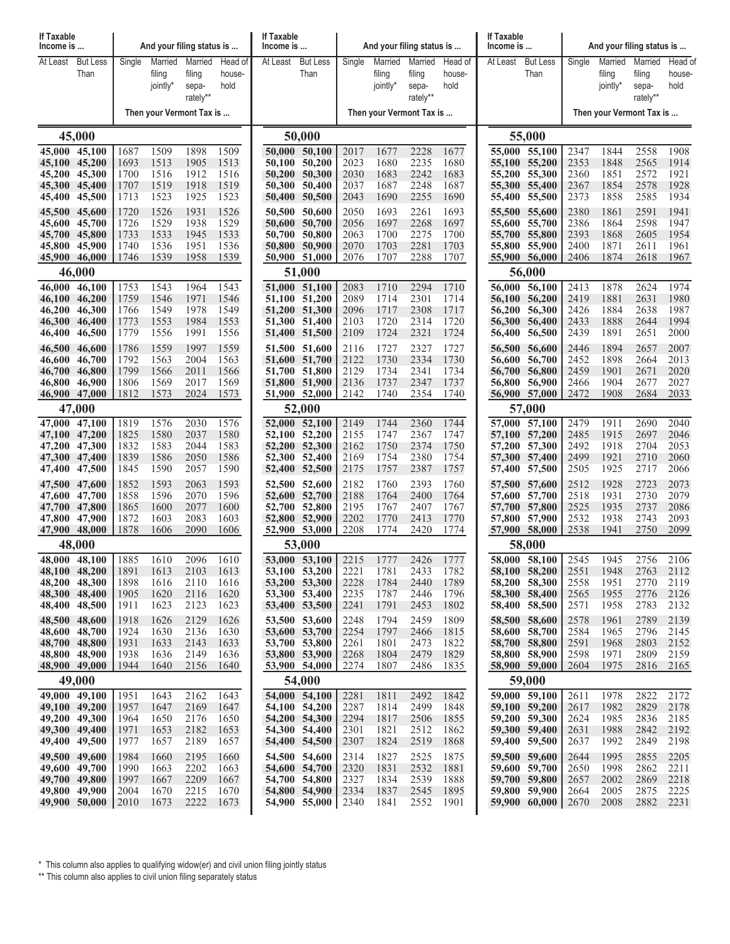| <b>If Taxable</b><br>Income is |                         |              |                   | And your filing status is |                   | If Taxable<br>Income is |                                |              | And your filing status is |                   |                   | If Taxable<br>Income is  |                                |              | And your filing status is |                   |                   |  |
|--------------------------------|-------------------------|--------------|-------------------|---------------------------|-------------------|-------------------------|--------------------------------|--------------|---------------------------|-------------------|-------------------|--------------------------|--------------------------------|--------------|---------------------------|-------------------|-------------------|--|
| At Least                       | <b>But Less</b><br>Than | Single       | Married<br>filing | Married<br>filing         | Head of<br>house- | At Least                | <b>But Less</b><br>Than        | Single       | Married<br>filing         | Married<br>filing | Head of<br>house- | At Least                 | <b>But Less</b><br>Than        | Single       | Married<br>filing         | Married<br>filing | Head of<br>house- |  |
|                                |                         |              | jointly*          | sepa-<br>rately**         | hold              |                         |                                |              | jointly*                  | sepa-<br>rately** | hold              |                          |                                |              | jointly*                  | sepa-<br>rately** | hold              |  |
|                                |                         |              |                   | Then your Vermont Tax is  |                   |                         |                                |              | Then your Vermont Tax is  |                   |                   | Then your Vermont Tax is |                                |              |                           |                   |                   |  |
|                                | 45,000                  |              |                   |                           |                   |                         | 50,000                         |              |                           |                   |                   | 55,000                   |                                |              |                           |                   |                   |  |
| 45,000 45,100                  |                         | 1687         | 1509              | 1898                      | 1509              |                         | 50,000 50,100                  | 2017         | 1677                      | 2228              | 1677              |                          | 55,000 55,100                  | 2347         | 1844                      | 2558              | 1908              |  |
| 45,100 45,200<br>45,200 45,300 |                         | 1693<br>1700 | 1513<br>1516      | 1905<br>1912              | 1513<br>1516      |                         | 50,100 50,200<br>50,200 50,300 | 2023<br>2030 | 1680<br>1683              | 2235<br>2242      | 1680<br>1683      | 55,200                   | 55,100 55,200<br>55,300        | 2353<br>2360 | 1848<br>1851              | 2565<br>2572      | 1914<br>1921      |  |
| 45,300 45,400                  |                         | 1707         | 1519              | 1918                      | 1519              |                         | 50,300 50,400                  | 2037         | 1687                      | 2248              | 1687              |                          | 55,300 55,400                  | 2367         | 1854                      | 2578              | 1928              |  |
| 45,400<br>45,500 45,600        | 45,500                  | 1713<br>1720 | 1523<br>1526      | 1925<br>1931              | 1523<br>1526      |                         | 50,400 50,500<br>50,500 50,600 | 2043<br>2050 | 1690<br>1693              | 2255<br>2261      | 1690<br>1693      |                          | 55,400 55,500<br>55,500 55,600 | 2373<br>2380 | 1858<br>1861              | 2585<br>2591      | 1934<br>1941      |  |
| 45,600                         | 45,700                  | 1726         | 1529              | 1938                      | 1529              |                         | 50,600 50,700                  | 2056         | 1697                      | 2268              | 1697              | 55,600                   | 55,700                         | 2386         | 1864                      | 2598              | 1947              |  |
| 45,700 45,800<br>45,800        | 45,900                  | 1733<br>1740 | 1533<br>1536      | 1945<br>1951              | 1533<br>1536      |                         | 50,700 50,800<br>50,800 50,900 | 2063<br>2070 | 1700<br>1703              | 2275<br>2281      | 1700<br>1703      |                          | 55,700 55,800<br>55,800 55,900 | 2393<br>2400 | 1868<br>1871              | 2605<br>2611      | 1954<br>1961      |  |
| 45,900 46,000                  |                         | 1746         | 1539              | 1958                      | 1539              |                         | 50,900 51,000                  | 2076         | 1707                      | 2288              | 1707              |                          | 55,900 56,000                  | 2406         | 1874                      | 2618              | 1967              |  |
|                                | 46,000                  |              |                   |                           |                   |                         | 51,000                         |              |                           |                   |                   | 56,000                   |                                |              |                           |                   |                   |  |
| 46,000 46,100<br>46,100 46,200 |                         | 1753<br>1759 | 1543<br>1546      | 1964<br>1971              | 1543<br>1546      |                         | 51,000 51,100<br>51,100 51,200 | 2083<br>2089 | 1710<br>1714              | 2294<br>2301      | 1710<br>1714      |                          | 56,000 56,100<br>56,100 56,200 | 2413<br>2419 | 1878<br>1881              | 2624<br>2631      | 1974<br>1980      |  |
| 46.200                         | 46,300                  | 1766         | 1549              | 1978                      | 1549              |                         | 51,200 51,300                  | 2096         | 1717                      | 2308              | 1717              | 56,200                   | 56,300                         | 2426         | 1884                      | 2638              | 1987              |  |
| 46,300 46,400<br>46,400        | 46,500                  | 1773<br>1779 | 1553<br>1556      | 1984<br>1991              | 1553<br>1556      |                         | 51,300 51,400<br>51,400 51,500 | 2103<br>2109 | 1720<br>1724              | 2314<br>2321      | 1720<br>1724      | 56,300<br>56,400         | 56,400<br>56,500               | 2433<br>2439 | 1888<br>1891              | 2644<br>2651      | 1994<br>2000      |  |
| 46,500                         | 46,600                  | 1786         | 1559              | 1997                      | 1559              |                         | 51,500 51,600                  | 2116         | 1727                      | 2327              | 1727              | 56,500                   | 56,600                         | 2446         | 1894                      | 2657              | 2007              |  |
| 46,600<br>46,700 46,800        | 46,700                  | 1792         | 1563              | 2004                      | 1563              |                         | 51,600 51,700                  | 2122         | 1730                      | 2334<br>2341      | 1730              | 56,600                   | 56,700                         | 2452         | 1898<br>1901              | 2664              | 2013<br>2020      |  |
| 46,800                         | 46,900                  | 1799<br>1806 | 1566<br>1569      | 2011<br>2017              | 1566<br>1569      |                         | 51,700 51,800<br>51,800 51,900 | 2129<br>2136 | 1734<br>1737              | 2347              | 1734<br>1737      | 56,800                   | 56,700 56,800<br>56,900        | 2459<br>2466 | 1904                      | 2671<br>2677      | 2027              |  |
| 46,900 47,000                  |                         | 1812         | 1573              | 2024                      | 1573              |                         | 51,900 52,000                  | 2142         | 1740                      | 2354              | 1740              |                          | 56,900 57,000                  | 2472         | 1908                      | 2684              | 2033              |  |
| 47,000<br>47,000 47,100        |                         |              |                   |                           |                   |                         | 52,000                         |              |                           |                   | 1744              |                          | 57,000                         |              |                           |                   | 2040              |  |
| 47,100 47,200                  |                         | 1819<br>1825 | 1576<br>1580      | 2030<br>2037              | 1576<br>1580      |                         | 52,000 52,100<br>52,100 52,200 | 2149<br>2155 | 1744<br>1747              | 2360<br>2367      | 1747              |                          | 57,000 57,100<br>57,100 57,200 | 2479<br>2485 | 1911<br>1915              | 2690<br>2697      | 2046              |  |
| 47,200 47,300                  |                         | 1832<br>1839 | 1583<br>1586      | 2044                      | 1583              |                         | 52,200 52,300                  | 2162         | 1750                      | 2374<br>2380      | 1750              |                          | 57,200 57,300                  | 2492         | 1918<br>1921              | 2704<br>2710      | 2053<br>2060      |  |
| 47,300 47,400<br>47,400        | 47,500                  | 1845         | 1590              | 2050<br>2057              | 1586<br>1590      |                         | 52,300 52,400<br>52,400 52,500 | 2169<br>2175 | 1754<br>1757              | 2387              | 1754<br>1757      |                          | 57,300 57,400<br>57,400 57,500 | 2499<br>2505 | 1925                      | 2717              | 2066              |  |
| 47,500 47,600                  |                         | 1852         | 1593              | 2063                      | 1593              |                         | 52,500 52,600                  | 2182         | 1760                      | 2393              | 1760              |                          | 57,500 57,600                  | 2512         | 1928                      | 2723              | 2073              |  |
| 47,600<br>47,700 47,800        | 47,700                  | 1858<br>1865 | 1596<br>1600      | 2070<br>2077              | 1596<br>1600      |                         | 52,600 52,700<br>52,700 52,800 | 2188<br>2195 | 1764<br>1767              | 2400<br>2407      | 1764<br>1767      | 57,600                   | 57,700<br>57,700 57,800        | 2518<br>2525 | 1931<br>1935              | 2730<br>2737      | 2079<br>2086      |  |
| 47,800 47,900                  |                         | 1872         | 1603              | 2083                      | 1603              |                         | 52,800 52,900                  | 2202         | 1770                      | 2413              | 1770              |                          | 57,800 57,900                  | 2532         | 1938                      | 2743              | 2093              |  |
| 47,900 48,000                  | 48,000                  | 1878         | 1606              | 2090                      | 1606              |                         | 52,900 53,000                  | 2208         | 1774                      | 2420              | 1774              |                          | 57,900 58,000<br>58,000        | 2538         | 1941                      | 2750              | 2099              |  |
| 48,000 48,100                  |                         | 1885         | 1610              | 2096                      | 1610              |                         | 53,000<br>53,000 53,100        | 2215         | 1777                      | 2426              | 1777              |                          | 58,000 58,100                  | 2545         | 1945                      | 2756              | 2106              |  |
| 48,100 48,200                  |                         | 1891         | 1613              | 2103                      | 1613              |                         | 53,100 53,200                  | 2221         | 1781                      | 2433              | 1782              |                          | 58,100 58,200                  | 2551         | 1948                      | 2763              | 2112              |  |
| 48,200 48,300<br>48,300 48,400 |                         | 1898<br>1905 | 1616<br>1620      | 2110<br>2116              | 1616<br>1620      |                         | 53,200 53,300<br>53,300 53,400 | 2228<br>2235 | 1784<br>1787              | 2440<br>2446      | 1789<br>1796      |                          | 58,200 58,300<br>58,300 58,400 | 2558<br>2565 | 1951<br>1955              | 2770<br>2776      | 2119<br>2126      |  |
| 48,400 48,500                  |                         | 1911         | 1623              | 2123                      | 1623              |                         | 53,400 53,500                  | 2241         | 1791                      | 2453              | 1802              |                          | 58,400 58,500                  | 2571         | 1958                      | 2783              | 2132              |  |
| 48,500 48,600                  |                         | 1918         | 1626              | 2129                      | 1626              |                         | 53,500 53,600                  | 2248         | 1794                      | 2459              | 1809              |                          | 58,500 58,600                  | 2578         | 1961                      | 2789              | 2139              |  |
| 48,600 48,700<br>48,700 48,800 |                         | 1924<br>1931 | 1630<br>1633      | 2136<br>2143              | 1630<br>1633      |                         | 53,600 53,700<br>53,700 53,800 | 2254<br>2261 | 1797<br>1801              | 2466<br>2473      | 1815<br>1822      |                          | 58,600 58,700<br>58,700 58,800 | 2584<br>2591 | 1965<br>1968              | 2796<br>2803      | 2145<br>2152      |  |
| 48,800 48,900                  |                         | 1938         | 1636              | 2149                      | 1636              |                         | 53,800 53,900                  | 2268         | 1804                      | 2479              | 1829              |                          | 58,800 58,900                  | 2598         | 1971                      | 2809              | 2159              |  |
| 48,900 49,000                  | 49,000                  | 1944         | 1640              | 2156                      | 1640              |                         | 53,900 54,000<br>54,000        | 2274         | 1807                      | 2486              | 1835              |                          | 58,900 59,000<br>59,000        | 2604         | 1975                      | 2816              | 2165              |  |
| $49,000$ 49,100                |                         | 1951         | 1643              | 2162                      | 1643              |                         | 54,000 54,100                  | 2281         | 1811                      | 2492              | 1842              |                          | $\overline{59,000}$ 59,100     | 2611         | 1978                      | 2822              | 2172              |  |
| 49,100 49,200                  |                         | 1957         | 1647              | 2169                      | 1647              |                         | 54,100 54,200                  | 2287         | 1814                      | 2499              | 1848              |                          | 59,100 59,200                  | 2617         | 1982                      | 2829              | 2178              |  |
| 49,200 49,300<br>49,300 49,400 |                         | 1964<br>1971 | 1650<br>1653      | 2176<br>2182              | 1650<br>1653      |                         | 54,200 54,300<br>54,300 54,400 | 2294<br>2301 | 1817<br>1821              | 2506<br>2512      | 1855<br>1862      |                          | 59,200 59,300<br>59,300 59,400 | 2624<br>2631 | 1985<br>1988              | 2836<br>2842      | 2185<br>2192      |  |
| 49,400 49,500                  |                         | 1977         | 1657              | 2189                      | 1657              |                         | 54,400 54,500                  | 2307         | 1824                      | 2519              | 1868              |                          | 59,400 59,500                  | 2637         | 1992                      | 2849              | 2198              |  |
| 49,500 49,600<br>49,600 49,700 |                         | 1984<br>1990 | 1660<br>1663      | 2195<br>2202              | 1660<br>1663      |                         | 54,500 54,600<br>54,600 54,700 | 2314<br>2320 | 1827<br>1831              | 2525<br>2532      | 1875<br>1881      |                          | 59,500 59,600<br>59,600 59,700 | 2644<br>2650 | 1995<br>1998              | 2855<br>2862      | 2205<br>2211      |  |
| 49,700 49,800                  |                         | 1997         | 1667              | 2209                      | 1667              |                         | 54,700 54,800                  | 2327         | 1834                      | 2539              | 1888              |                          | 59,700 59,800                  | 2657         | 2002                      | 2869              | 2218              |  |
| 49,800 49,900<br>49,900 50,000 |                         | 2004<br>2010 | 1670<br>1673      | 2215<br>2222              | 1670<br>1673      |                         | 54,800 54,900<br>54,900 55,000 | 2334<br>2340 | 1837<br>1841              | 2545<br>2552      | 1895<br>1901      |                          | 59,800 59,900<br>59,900 60,000 | 2664<br>2670 | 2005<br>2008              | 2875<br>2882      | 2225<br>2231      |  |
|                                |                         |              |                   |                           |                   |                         |                                |              |                           |                   |                   |                          |                                |              |                           |                   |                   |  |